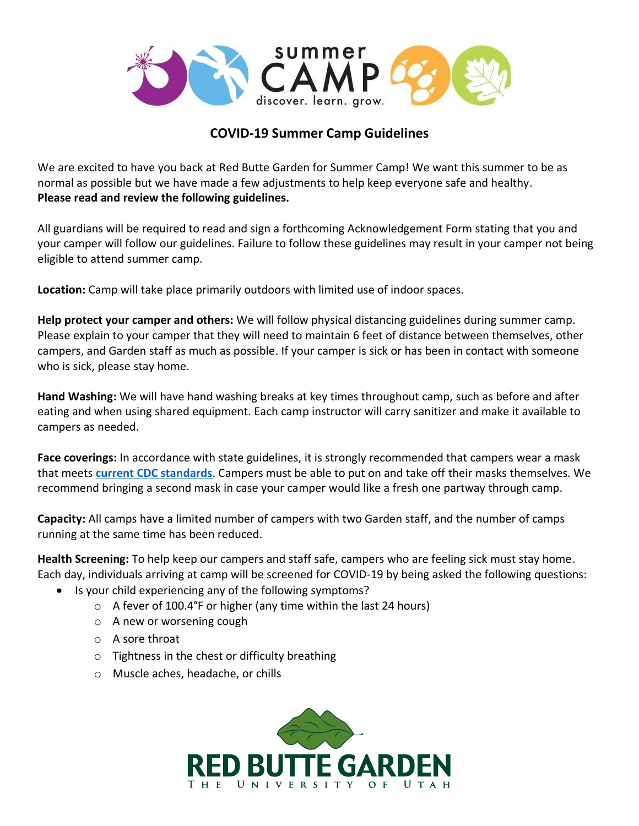

## **COVID-19 Summer Camp Guidelines**

We are excited to have you back at Red Butte Garden for Summer Camp! We want this summer to be as normal as possible but we have made a few adjustments to help keep everyone safe and healthy. **Please read and review the following guidelines.**

All guardians will be required to read and sign a forthcoming Acknowledgement Form stating that you and your camper will follow our guidelines. Failure to follow these guidelines may result in your camper not being eligible to attend summer camp.

**Location:** Camp will take place primarily outdoors with limited use of indoor spaces.

**Help protect your camper and others:** We will follow physical distancing guidelines during summer camp. Please explain to your camper that they will need to maintain 6 feet of distance between themselves, other campers, and Garden staff as much as possible. If your camper is sick or has been in contact with someone who is sick, please stay home.

**Hand Washing:** We will have hand washing breaks at key times throughout camp, such as before and after eating and when using shared equipment. Each camp instructor will carry sanitizer and make it available to campers as needed.

**Face coverings:** In accordance with state guidelines, it is strongly recommended that campers wear a mask that meets **[current CDC standards](https://www.cdc.gov/coronavirus/2019-ncov/prevent-getting-sick/about-face-coverings.html)**. Campers must be able to put on and take off their masks themselves. We recommend bringing a second mask in case your camper would like a fresh one partway through camp.

**Capacity:** All camps have a limited number of campers with two Garden staff, and the number of camps running at the same time has been reduced.

**Health Screening:** To help keep our campers and staff safe, campers who are feeling sick must stay home. Each day, individuals arriving at camp will be screened for COVID-19 by being asked the following questions:

- Is your child experiencing any of the following symptoms?
	- $\circ$  A fever of 100.4°F or higher (any time within the last 24 hours)
	- o A new or worsening cough
	- o A sore throat
	- o Tightness in the chest or difficulty breathing
	- o Muscle aches, headache, or chills